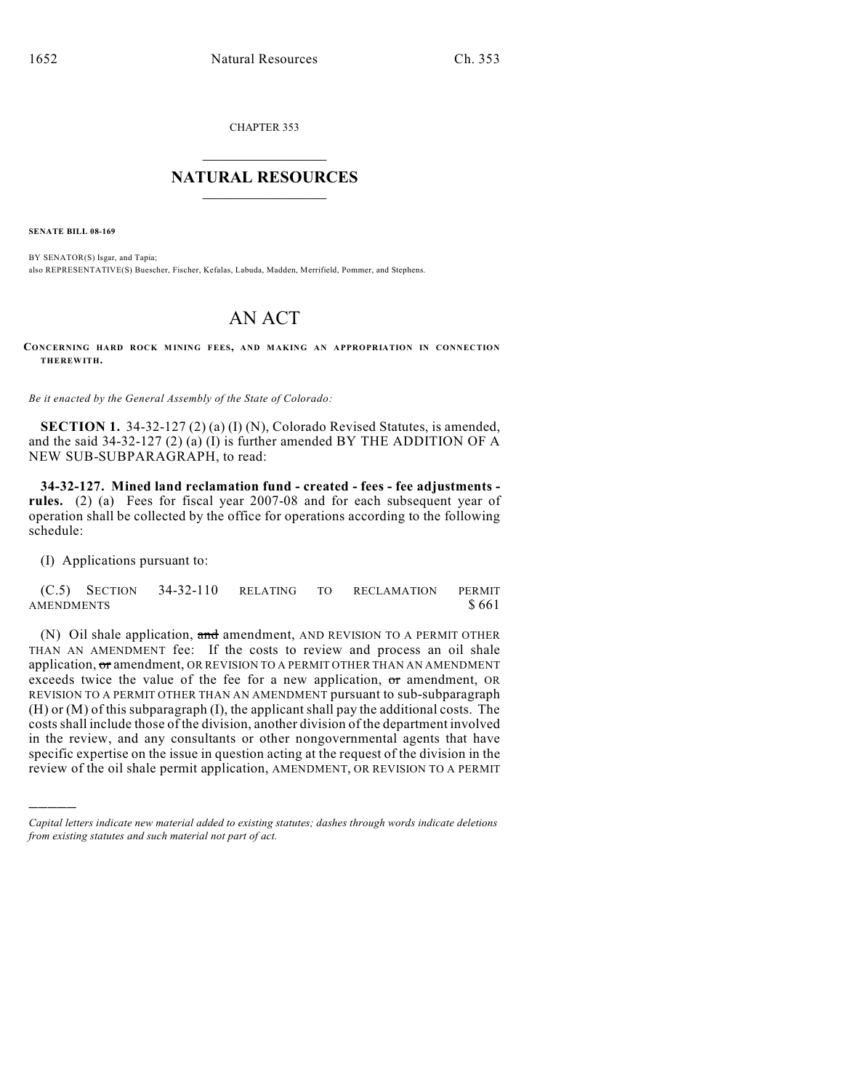CHAPTER 353

## $\mathcal{L}_\text{max}$  . The set of the set of the set of the set of the set of the set of the set of the set of the set of the set of the set of the set of the set of the set of the set of the set of the set of the set of the set **NATURAL RESOURCES**  $\frac{1}{\sqrt{2}}$  , where  $\frac{1}{\sqrt{2}}$  ,  $\frac{1}{\sqrt{2}}$  ,  $\frac{1}{\sqrt{2}}$

**SENATE BILL 08-169**

BY SENATOR(S) Isgar, and Tapia; also REPRESENTATIVE(S) Buescher, Fischer, Kefalas, Labuda, Madden, Merrifield, Pommer, and Stephens.

## AN ACT

**CONCERNING HARD ROCK M INING FEES, AND MAKING AN APPROPRIATION IN CONNECTION THEREWITH.**

*Be it enacted by the General Assembly of the State of Colorado:*

**SECTION 1.** 34-32-127 (2) (a) (I) (N), Colorado Revised Statutes, is amended, and the said 34-32-127 (2) (a) (I) is further amended BY THE ADDITION OF A NEW SUB-SUBPARAGRAPH, to read:

**34-32-127. Mined land reclamation fund - created - fees - fee adjustments rules.** (2) (a) Fees for fiscal year 2007-08 and for each subsequent year of operation shall be collected by the office for operations according to the following schedule:

(I) Applications pursuant to:

)))))

|            | $(C.5)$ Section 34-32-110 relating to |  | RECLAMATION | <b>PERMIT</b> |
|------------|---------------------------------------|--|-------------|---------------|
| AMENDMENTS |                                       |  |             | \$661         |

(N) Oil shale application, and amendment, AND REVISION TO A PERMIT OTHER THAN AN AMENDMENT fee: If the costs to review and process an oil shale application, or amendment, OR REVISION TO A PERMIT OTHER THAN AN AMENDMENT exceeds twice the value of the fee for a new application,  $\sigma$ r amendment, OR REVISION TO A PERMIT OTHER THAN AN AMENDMENT pursuant to sub-subparagraph (H) or (M) of this subparagraph (I), the applicant shall pay the additional costs. The costs shall include those of the division, another division of the department involved in the review, and any consultants or other nongovernmental agents that have specific expertise on the issue in question acting at the request of the division in the review of the oil shale permit application, AMENDMENT, OR REVISION TO A PERMIT

*Capital letters indicate new material added to existing statutes; dashes through words indicate deletions from existing statutes and such material not part of act.*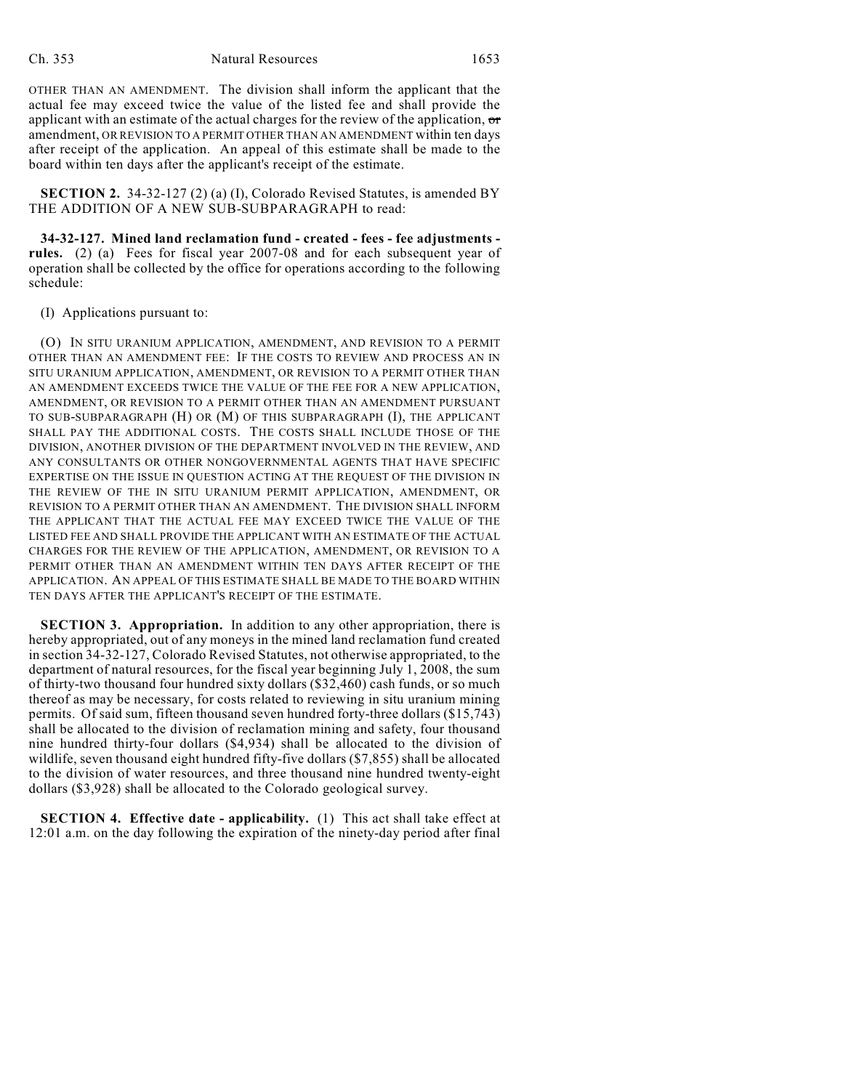OTHER THAN AN AMENDMENT. The division shall inform the applicant that the actual fee may exceed twice the value of the listed fee and shall provide the applicant with an estimate of the actual charges for the review of the application,  $\sigma$ amendment, OR REVISION TO A PERMIT OTHER THAN AN AMENDMENT within ten days after receipt of the application. An appeal of this estimate shall be made to the board within ten days after the applicant's receipt of the estimate.

**SECTION 2.** 34-32-127 (2) (a) (I), Colorado Revised Statutes, is amended BY THE ADDITION OF A NEW SUB-SUBPARAGRAPH to read:

**34-32-127. Mined land reclamation fund - created - fees - fee adjustments rules.** (2) (a) Fees for fiscal year 2007-08 and for each subsequent year of operation shall be collected by the office for operations according to the following schedule:

(I) Applications pursuant to:

(O) IN SITU URANIUM APPLICATION, AMENDMENT, AND REVISION TO A PERMIT OTHER THAN AN AMENDMENT FEE: IF THE COSTS TO REVIEW AND PROCESS AN IN SITU URANIUM APPLICATION, AMENDMENT, OR REVISION TO A PERMIT OTHER THAN AN AMENDMENT EXCEEDS TWICE THE VALUE OF THE FEE FOR A NEW APPLICATION, AMENDMENT, OR REVISION TO A PERMIT OTHER THAN AN AMENDMENT PURSUANT TO SUB-SUBPARAGRAPH (H) OR (M) OF THIS SUBPARAGRAPH (I), THE APPLICANT SHALL PAY THE ADDITIONAL COSTS. THE COSTS SHALL INCLUDE THOSE OF THE DIVISION, ANOTHER DIVISION OF THE DEPARTMENT INVOLVED IN THE REVIEW, AND ANY CONSULTANTS OR OTHER NONGOVERNMENTAL AGENTS THAT HAVE SPECIFIC EXPERTISE ON THE ISSUE IN QUESTION ACTING AT THE REQUEST OF THE DIVISION IN THE REVIEW OF THE IN SITU URANIUM PERMIT APPLICATION, AMENDMENT, OR REVISION TO A PERMIT OTHER THAN AN AMENDMENT. THE DIVISION SHALL INFORM THE APPLICANT THAT THE ACTUAL FEE MAY EXCEED TWICE THE VALUE OF THE LISTED FEE AND SHALL PROVIDE THE APPLICANT WITH AN ESTIMATE OF THE ACTUAL CHARGES FOR THE REVIEW OF THE APPLICATION, AMENDMENT, OR REVISION TO A PERMIT OTHER THAN AN AMENDMENT WITHIN TEN DAYS AFTER RECEIPT OF THE APPLICATION. AN APPEAL OF THIS ESTIMATE SHALL BE MADE TO THE BOARD WITHIN TEN DAYS AFTER THE APPLICANT'S RECEIPT OF THE ESTIMATE.

**SECTION 3. Appropriation.** In addition to any other appropriation, there is hereby appropriated, out of any moneys in the mined land reclamation fund created in section 34-32-127, Colorado Revised Statutes, not otherwise appropriated, to the department of natural resources, for the fiscal year beginning July 1, 2008, the sum of thirty-two thousand four hundred sixty dollars (\$32,460) cash funds, or so much thereof as may be necessary, for costs related to reviewing in situ uranium mining permits. Of said sum, fifteen thousand seven hundred forty-three dollars (\$15,743) shall be allocated to the division of reclamation mining and safety, four thousand nine hundred thirty-four dollars (\$4,934) shall be allocated to the division of wildlife, seven thousand eight hundred fifty-five dollars (\$7,855) shall be allocated to the division of water resources, and three thousand nine hundred twenty-eight dollars (\$3,928) shall be allocated to the Colorado geological survey.

**SECTION 4. Effective date - applicability.** (1) This act shall take effect at 12:01 a.m. on the day following the expiration of the ninety-day period after final